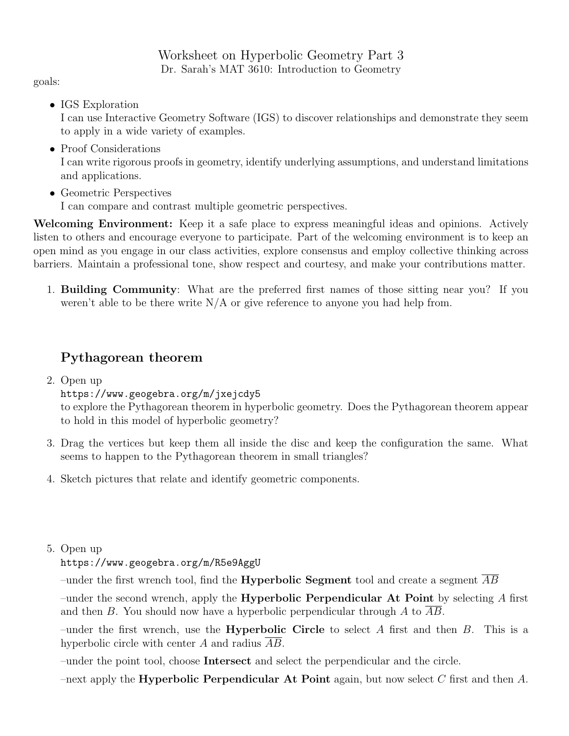Worksheet on Hyperbolic Geometry Part 3 Dr. Sarah's MAT 3610: Introduction to Geometry

goals:

• IGS Exploration

I can use Interactive Geometry Software (IGS) to discover relationships and demonstrate they seem to apply in a wide variety of examples.

• Proof Considerations

I can write rigorous proofs in geometry, identify underlying assumptions, and understand limitations and applications.

• Geometric Perspectives

I can compare and contrast multiple geometric perspectives.

Welcoming Environment: Keep it a safe place to express meaningful ideas and opinions. Actively listen to others and encourage everyone to participate. Part of the welcoming environment is to keep an open mind as you engage in our class activities, explore consensus and employ collective thinking across barriers. Maintain a professional tone, show respect and courtesy, and make your contributions matter.

1. Building Community: What are the preferred first names of those sitting near you? If you weren't able to be there write  $N/A$  or give reference to anyone you had help from.

## Pythagorean theorem

2. Open up

https://www.geogebra.org/m/jxejcdy5

to explore the Pythagorean theorem in hyperbolic geometry. Does the Pythagorean theorem appear to hold in this model of hyperbolic geometry?

- 3. Drag the vertices but keep them all inside the disc and keep the configuration the same. What seems to happen to the Pythagorean theorem in small triangles?
- 4. Sketch pictures that relate and identify geometric components.
- 5. Open up

https://www.geogebra.org/m/R5e9AggU

–under the first wrench tool, find the **Hyperbolic Segment** tool and create a segment  $AB$ 

–under the second wrench, apply the **Hyperbolic Perpendicular At Point** by selecting A first and then  $B$ . You should now have a hyperbolic perpendicular through  $A$  to  $AB$ .

–under the first wrench, use the **Hyperbolic Circle** to select A first and then B. This is a hyperbolic circle with center A and radius  $\overline{AB}$ .

–under the point tool, choose Intersect and select the perpendicular and the circle.

–next apply the **Hyperbolic Perpendicular At Point** again, but now select C first and then A.